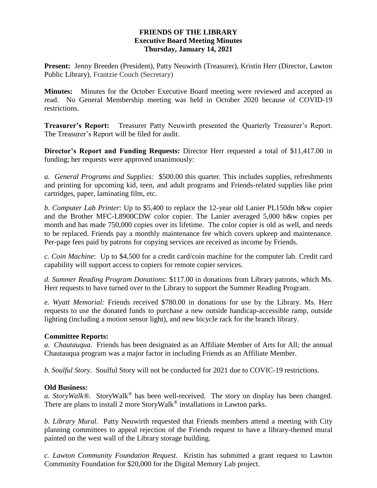# **FRIENDS OF THE LIBRARY Executive Board Meeting Minutes Thursday, January 14, 2021**

**Present:** Jenny Breeden (President), Patty Neuwirth (Treasurer), Kristin Herr (Director, Lawton Public Library), Frantzie Couch (Secretary)

**Minutes:** Minutes for the October Executive Board meeting were reviewed and accepted as read. No General Membership meeting was held in October 2020 because of COVID-19 restrictions.

**Treasurer's Report:** Treasurer Patty Neuwirth presented the Quarterly Treasurer's Report. The Treasurer's Report will be filed for audit.

**Director's Report and Funding Requests:** Director Herr requested a total of \$11,417.00 in funding; her requests were approved unanimously:

*a. General Programs and Supplies:* \$500.00 this quarter. This includes supplies, refreshments and printing for upcoming kid, teen, and adult programs and Friends-related supplies like print cartridges, paper, laminating film, etc.

*b. Computer Lab Printer*: Up to \$5,400 to replace the 12-year old Lanier PL150dn b&w copier and the Brother MFC-L8900CDW color copier. The Lanier averaged 5,000 b&w copies per month and has made 750,000 copies over its lifetime. The color copier is old as well, and needs to be replaced. Friends pay a monthly maintenance fee which covers upkeep and maintenance. Per-page fees paid by patrons for copying services are received as income by Friends.

*c. Coin Machine*: Up to \$4,500 for a credit card/coin machine for the computer lab. Credit card capability will support access to copiers for remote copier services.

*d. Summer Reading Program Donations*: \$117.00 in donations from Library patrons, which Ms. Herr requests to have turned over to the Library to support the Summer Reading Program.

*e. Wyatt Memorial:* Friends received \$780.00 in donations for use by the Library. Ms. Herr requests to use the donated funds to purchase a new outside handicap-accessible ramp, outside lighting (including a motion sensor light), and new bicycle rack for the branch library.

## **Committee Reports:**

*a. Chautauqua*. Friends has been designated as an Affiliate Member of Arts for All; the annual Chautauqua program was a major factor in including Friends as an Affiliate Member.

*b. Soulful Story*. Soulful Story will not be conducted for 2021 due to COVIC-19 restrictions.

## **Old Business:**

*a. StoryWalk®.* StoryWalk*®* has been well-received. The story on display has been changed. There are plans to install 2 more StoryWalk*®* installations in Lawton parks.

*b. Library Mural*. Patty Neuwirth requested that Friends members attend a meeting with City planning committees to appeal rejection of the Friends request to have a library-themed mural painted on the west wall of the Library storage building.

*c. Lawton Community Foundation Request*. Kristin has submitted a grant request to Lawton Community Foundation for \$20,000 for the Digital Memory Lab project.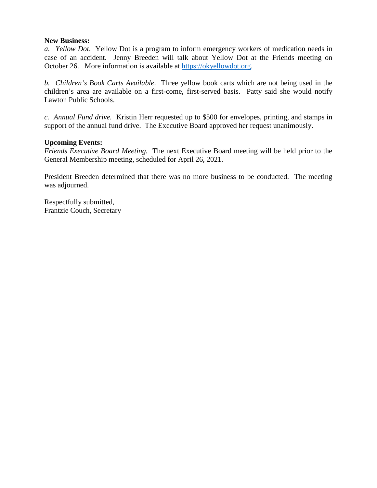#### **New Business:**

*a. Yellow Dot*. Yellow Dot is a program to inform emergency workers of medication needs in case of an accident. Jenny Breeden will talk about Yellow Dot at the Friends meeting on October 26. More information is available at [https://okyellowdot.org.](https://okyellowdot.org/)

*b. Children's Book Carts Available*. Three yellow book carts which are not being used in the children's area are available on a first-come, first-served basis. Patty said she would notify Lawton Public Schools.

*c. Annual Fund drive.* Kristin Herr requested up to \$500 for envelopes, printing, and stamps in support of the annual fund drive. The Executive Board approved her request unanimously.

#### **Upcoming Events:**

*Friends Executive Board Meeting.* The next Executive Board meeting will be held prior to the General Membership meeting, scheduled for April 26, 2021.

President Breeden determined that there was no more business to be conducted. The meeting was adjourned.

Respectfully submitted, Frantzie Couch, Secretary